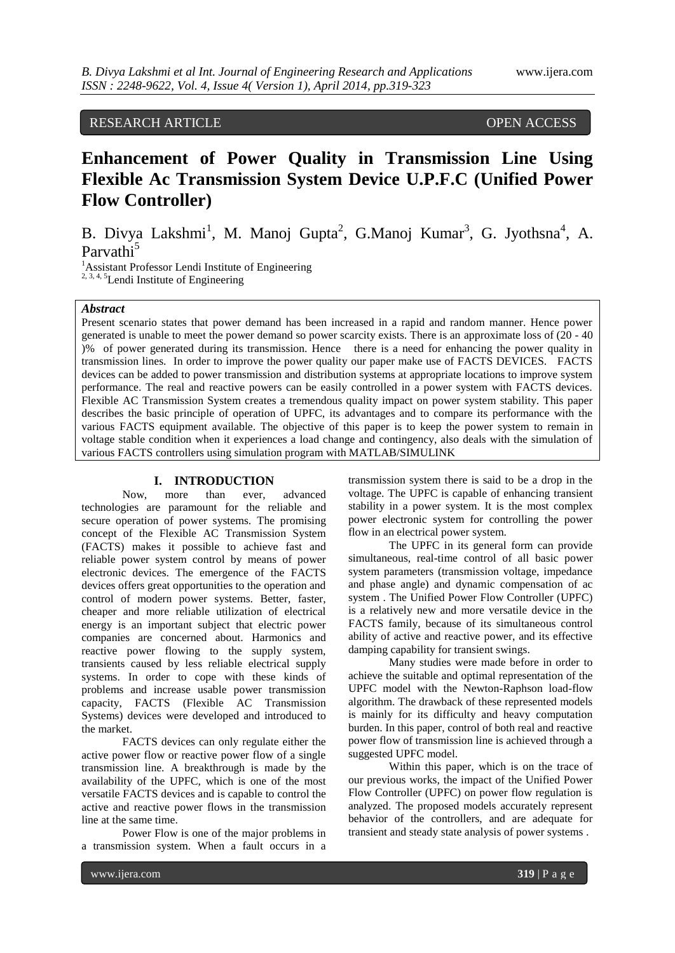## RESEARCH ARTICLE OPEN ACCESS

# **Enhancement of Power Quality in Transmission Line Using Flexible Ac Transmission System Device U.P.F.C (Unified Power Flow Controller)**

B. Divya Lakshmi<sup>1</sup>, M. Manoj Gupta<sup>2</sup>, G.Manoj Kumar<sup>3</sup>, G. Jyothsna<sup>4</sup>, A. Parvathi<sup>5</sup>

<sup>1</sup>Assistant Professor Lendi Institute of Engineering  $2, 3, 4, 5$ Lendi Institute of Engineering

#### *Abstract*

Present scenario states that power demand has been increased in a rapid and random manner. Hence power generated is unable to meet the power demand so power scarcity exists. There is an approximate loss of (20 - 40 )% of power generated during its transmission. Hence there is a need for enhancing the power quality in transmission lines. In order to improve the power quality our paper make use of FACTS DEVICES. FACTS devices can be added to power transmission and distribution systems at appropriate locations to improve system performance. The real and reactive powers can be easily controlled in a power system with FACTS devices. Flexible AC Transmission System creates a tremendous quality impact on power system stability. This paper describes the basic principle of operation of UPFC, its advantages and to compare its performance with the various FACTS equipment available. The objective of this paper is to keep the power system to remain in voltage stable condition when it experiences a load change and contingency, also deals with the simulation of various FACTS controllers using simulation program with MATLAB/SIMULINK

#### **I. INTRODUCTION**

Now, more than ever, advanced technologies are paramount for the reliable and secure operation of power systems. The promising concept of the Flexible AC Transmission System (FACTS) makes it possible to achieve fast and reliable power system control by means of power electronic devices. The emergence of the FACTS devices offers great opportunities to the operation and control of modern power systems. Better, faster, cheaper and more reliable utilization of electrical energy is an important subject that electric power companies are concerned about. Harmonics and reactive power flowing to the supply system, transients caused by less reliable electrical supply systems. In order to cope with these kinds of problems and increase usable power transmission capacity, FACTS (Flexible AC Transmission Systems) devices were developed and introduced to the market.

FACTS devices can only regulate either the active power flow or reactive power flow of a single transmission line. A breakthrough is made by the availability of the UPFC, which is one of the most versatile FACTS devices and is capable to control the active and reactive power flows in the transmission line at the same time.

Power Flow is one of the major problems in a transmission system. When a fault occurs in a

transmission system there is said to be a drop in the voltage. The UPFC is capable of enhancing transient stability in a power system. It is the most complex power electronic system for controlling the power flow in an electrical power system.

The UPFC in its general form can provide simultaneous, real-time control of all basic power system parameters (transmission voltage, impedance and phase angle) and dynamic compensation of ac system . The Unified Power Flow Controller (UPFC) is a relatively new and more versatile device in the FACTS family, because of its simultaneous control ability of active and reactive power, and its effective damping capability for transient swings.

Many studies were made before in order to achieve the suitable and optimal representation of the UPFC model with the Newton-Raphson load-flow algorithm. The drawback of these represented models is mainly for its difficulty and heavy computation burden. In this paper, control of both real and reactive power flow of transmission line is achieved through a suggested UPFC model.

Within this paper, which is on the trace of our previous works, the impact of the Unified Power Flow Controller (UPFC) on power flow regulation is analyzed. The proposed models accurately represent behavior of the controllers, and are adequate for transient and steady state analysis of power systems .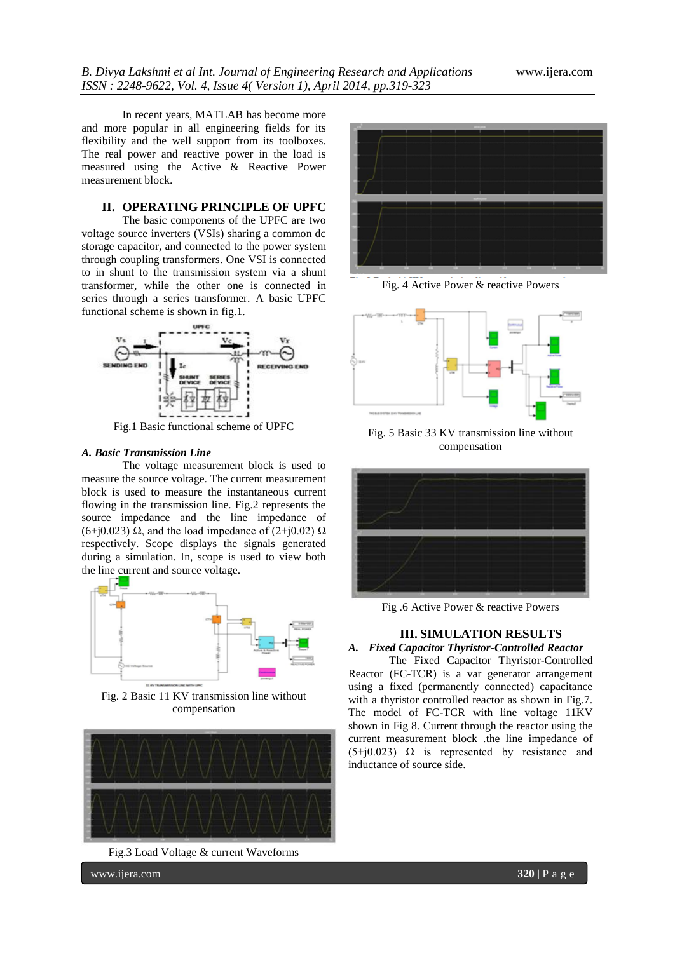In recent years, MATLAB has become more and more popular in all engineering fields for its flexibility and the well support from its toolboxes. The real power and reactive power in the load is measured using the Active & Reactive Power measurement block.

## **II. OPERATING PRINCIPLE OF UPFC**

The basic components of the UPFC are two voltage source inverters (VSIs) sharing a common dc storage capacitor, and connected to the power system through coupling transformers. One VSI is connected to in shunt to the transmission system via a shunt transformer, while the other one is connected in series through a series transformer. A basic UPFC functional scheme is shown in fig.1.



Fig.1 Basic functional scheme of UPFC

#### *A. Basic Transmission Line*

The voltage measurement block is used to measure the source voltage. The current measurement block is used to measure the instantaneous current flowing in the transmission line. Fig.2 represents the source impedance and the line impedance of (6+j0.023) Ω, and the load impedance of (2+j0.02)  $\Omega$ respectively. Scope displays the signals generated during a simulation. In, scope is used to view both the line current and source voltage.



Fig. 2 Basic 11 KV transmission line without compensation



Fig.3 Load Voltage & current Waveforms



Fig. 4 Active Power & reactive Powers



Fig. 5 Basic 33 KV transmission line without compensation



Fig .6 Active Power & reactive Powers

## **III. SIMULATION RESULTS**

*A. Fixed Capacitor Thyristor-Controlled Reactor*  The Fixed Capacitor Thyristor-Controlled Reactor (FC-TCR) is a var generator arrangement using a fixed (permanently connected) capacitance with a thyristor controlled reactor as shown in Fig.7. The model of FC-TCR with line voltage 11KV shown in Fig 8. Current through the reactor using the current measurement block .the line impedance of

 $(5+j0.023)$  Ω is represented by resistance and

inductance of source side.

www.ijera.com **320** | P a g e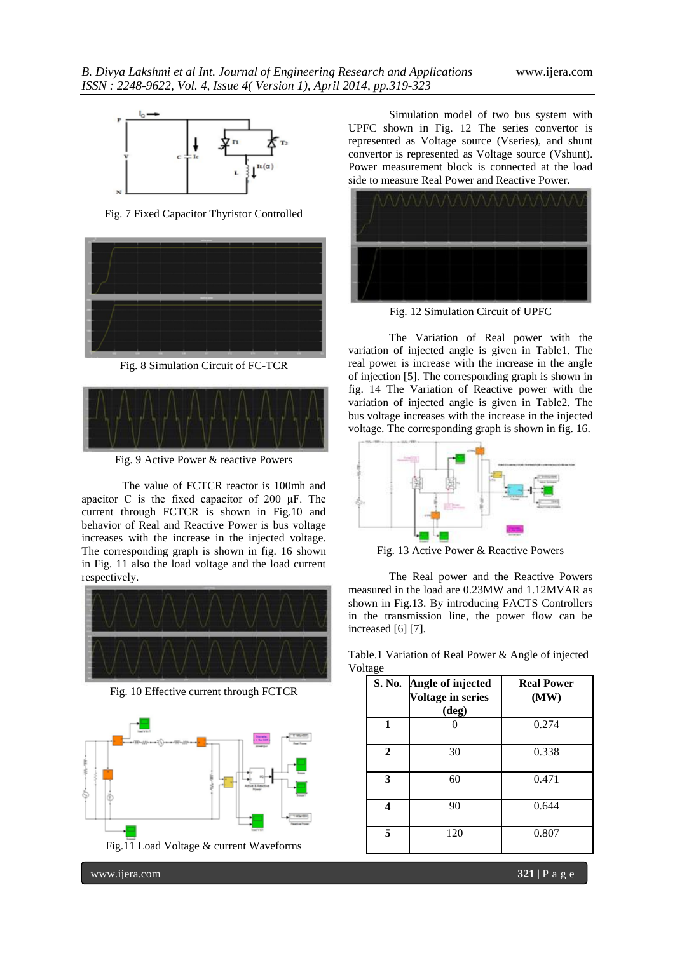

Fig. 7 Fixed Capacitor Thyristor Controlled



Fig. 8 Simulation Circuit of FC-TCR



Fig. 9 Active Power & reactive Powers

The value of FCTCR reactor is 100mh and apacitor C is the fixed capacitor of 200 μF. The current through FCTCR is shown in Fig.10 and behavior of Real and Reactive Power is bus voltage increases with the increase in the injected voltage. The corresponding graph is shown in fig. 16 shown in Fig. 11 also the load voltage and the load current respectively.



Fig. 10 Effective current through FCTCR



Simulation model of two bus system with UPFC shown in Fig. 12 The series convertor is represented as Voltage source (Vseries), and shunt convertor is represented as Voltage source (Vshunt). Power measurement block is connected at the load side to measure Real Power and Reactive Power.



Fig. 12 Simulation Circuit of UPFC

The Variation of Real power with the variation of injected angle is given in Table1. The real power is increase with the increase in the angle of injection [5]. The corresponding graph is shown in fig. 14 The Variation of Reactive power with the variation of injected angle is given in Table2. The bus voltage increases with the increase in the injected voltage. The corresponding graph is shown in fig. 16.



Fig. 13 Active Power & Reactive Powers

The Real power and the Reactive Powers measured in the load are 0.23MW and 1.12MVAR as shown in Fig.13. By introducing FACTS Controllers in the transmission line, the power flow can be increased [6] [7].

Table.1 Variation of Real Power & Angle of injected Voltage

|              | S. No. Angle of injected<br><b>Voltage in series</b><br>$(\text{deg})$ | <b>Real Power</b><br>(MW) |
|--------------|------------------------------------------------------------------------|---------------------------|
| 1            |                                                                        | 0.274                     |
| $\mathbf{2}$ | 30                                                                     | 0.338                     |
| 3            | 60                                                                     | 0.471                     |
|              | 90                                                                     | 0.644                     |
| 5            | 120                                                                    | 0.807                     |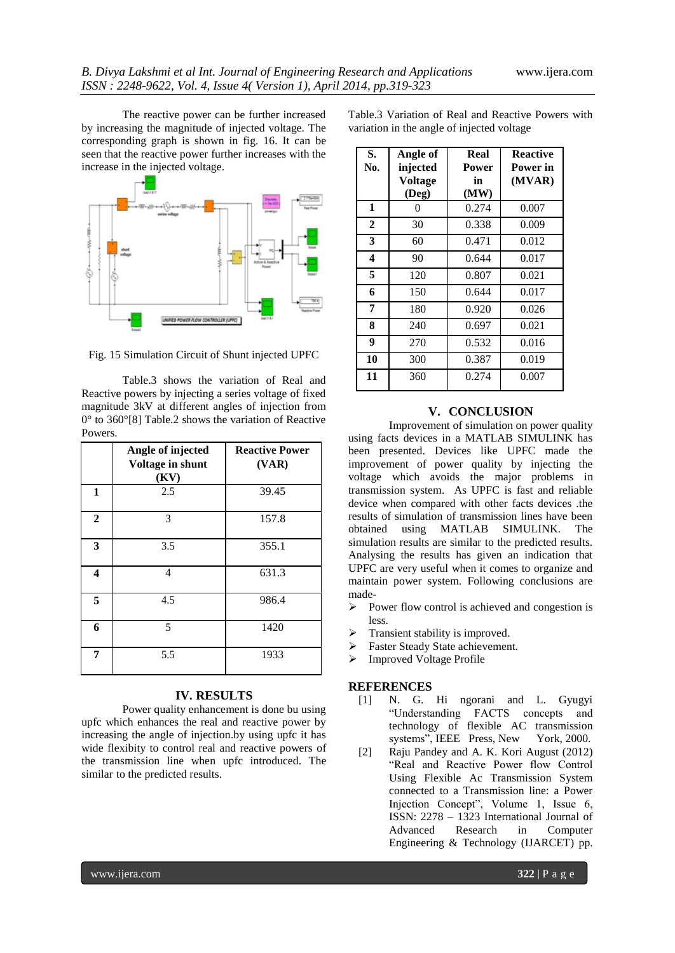The reactive power can be further increased by increasing the magnitude of injected voltage. The corresponding graph is shown in fig. 16. It can be seen that the reactive power further increases with the increase in the injected voltage.



Fig. 15 Simulation Circuit of Shunt injected UPFC

Table.3 shows the variation of Real and Reactive powers by injecting a series voltage of fixed magnitude 3kV at different angles of injection from 0° to 360°[8] Table.2 shows the variation of Reactive Powers.

|              | Angle of injected<br>Voltage in shunt<br>(KV) | <b>Reactive Power</b><br>(VAR) |
|--------------|-----------------------------------------------|--------------------------------|
| $\mathbf{1}$ | 2.5                                           | 39.45                          |
| $\mathbf{2}$ | 3                                             | 157.8                          |
| 3            | 3.5                                           | 355.1                          |
| 4            | 4                                             | 631.3                          |
| 5            | 4.5                                           | 986.4                          |
| 6            | 5                                             | 1420                           |
| 7            | 5.5                                           | 1933                           |

## **IV. RESULTS**

Power quality enhancement is done bu using upfc which enhances the real and reactive power by increasing the angle of injection.by using upfc it has wide flexibity to control real and reactive powers of the transmission line when upfc introduced. The similar to the predicted results.

Table.3 Variation of Real and Reactive Powers with variation in the angle of injected voltage

| S.<br>No.    | Angle of<br>injected | Real<br>Power | <b>Reactive</b><br>Power in |
|--------------|----------------------|---------------|-----------------------------|
|              | <b>Voltage</b>       | in            | (MVAR)                      |
|              | (Deg)                | (MW)          |                             |
| 1            | 0                    | 0.274         | 0.007                       |
| $\mathbf{2}$ | 30                   | 0.338         | 0.009                       |
| 3            | 60                   | 0.471         | 0.012                       |
| 4            | 90                   | 0.644         | 0.017                       |
| 5            | 120                  | 0.807         | 0.021                       |
| 6            | 150                  | 0.644         | 0.017                       |
| 7            | 180                  | 0.920         | 0.026                       |
| 8            | 240                  | 0.697         | 0.021                       |
| 9            | 270                  | 0.532         | 0.016                       |
| 10           | 300                  | 0.387         | 0.019                       |
| 11           | 360                  | 0.274         | 0.007                       |

#### **V. CONCLUSION**

Improvement of simulation on power quality using facts devices in a MATLAB SIMULINK has been presented. Devices like UPFC made the improvement of power quality by injecting the voltage which avoids the major problems in transmission system. As UPFC is fast and reliable device when compared with other facts devices .the results of simulation of transmission lines have been obtained using MATLAB SIMULINK. The simulation results are similar to the predicted results. Analysing the results has given an indication that UPFC are very useful when it comes to organize and maintain power system. Following conclusions are made-

- $\triangleright$  Power flow control is achieved and congestion is less.
- $\triangleright$  Transient stability is improved.
- > Faster Steady State achievement.
- > Improved Voltage Profile

### **REFERENCES**

- [1] N. G. Hi ngorani and L. Gyugyi "Understanding FACTS concepts and technology of flexible AC transmission systems", IEEE Press, New York, 2000.
- [2] Raju Pandey and A. K. Kori August (2012) "Real and Reactive Power flow Control Using Flexible Ac Transmission System connected to a Transmission line: a Power Injection Concept", Volume 1, Issue 6, ISSN: 2278 – 1323 International Journal of Advanced Research in Computer Engineering & Technology (IJARCET) pp.